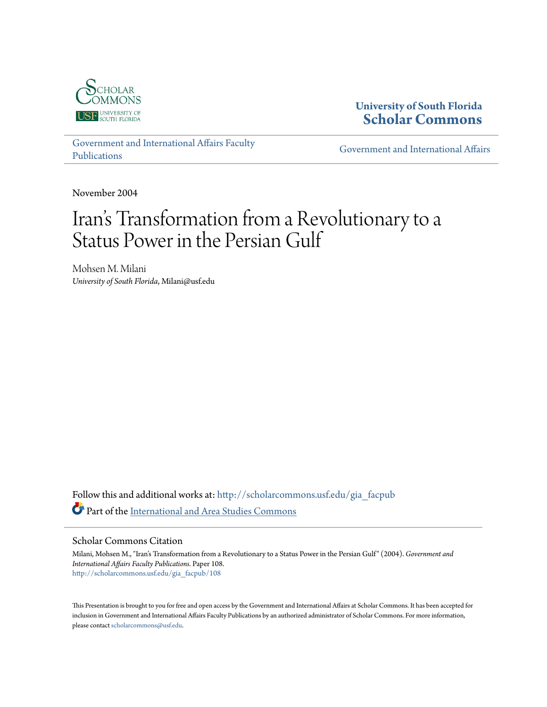

**University of South Florida [Scholar Commons](http://scholarcommons.usf.edu?utm_source=scholarcommons.usf.edu%2Fgia_facpub%2F108&utm_medium=PDF&utm_campaign=PDFCoverPages)**

[Government and International Affairs Faculty](http://scholarcommons.usf.edu/gia_facpub?utm_source=scholarcommons.usf.edu%2Fgia_facpub%2F108&utm_medium=PDF&utm_campaign=PDFCoverPages) [Publications](http://scholarcommons.usf.edu/gia_facpub?utm_source=scholarcommons.usf.edu%2Fgia_facpub%2F108&utm_medium=PDF&utm_campaign=PDFCoverPages)

[Government and International Affairs](http://scholarcommons.usf.edu/gia?utm_source=scholarcommons.usf.edu%2Fgia_facpub%2F108&utm_medium=PDF&utm_campaign=PDFCoverPages)

November 2004

# Iran 's Transformation from a Revolutionary to a Status Power in the Persian Gulf

Mohsen M. Milani *University of South Florida*, Milani@usf.edu

Follow this and additional works at: [http://scholarcommons.usf.edu/gia\\_facpub](http://scholarcommons.usf.edu/gia_facpub?utm_source=scholarcommons.usf.edu%2Fgia_facpub%2F108&utm_medium=PDF&utm_campaign=PDFCoverPages) Part of the [International and Area Studies Commons](http://network.bepress.com/hgg/discipline/360?utm_source=scholarcommons.usf.edu%2Fgia_facpub%2F108&utm_medium=PDF&utm_campaign=PDFCoverPages)

#### Scholar Commons Citation

Milani, Mohsen M., "Iran's Transformation from a Revolutionary to a Status Power in the Persian Gulf" (2004). *Government and International Affairs Faculty Publications.* Paper 108. [http://scholarcommons.usf.edu/gia\\_facpub/108](http://scholarcommons.usf.edu/gia_facpub/108?utm_source=scholarcommons.usf.edu%2Fgia_facpub%2F108&utm_medium=PDF&utm_campaign=PDFCoverPages)

This Presentation is brought to you for free and open access by the Government and International Affairs at Scholar Commons. It has been accepted for inclusion in Government and International Affairs Faculty Publications by an authorized administrator of Scholar Commons. For more information, please contact [scholarcommons@usf.edu.](mailto:scholarcommons@usf.edu)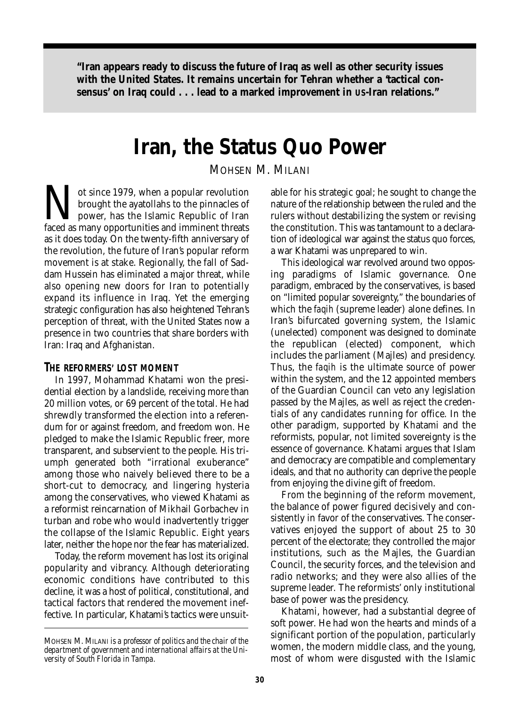**"Iran appears ready to discuss the future of Iraq as well as other security issues with the United States. It remains uncertain for Tehran whether a 'tactical consensus' on Iraq could . . . lead to a marked improvement in US-Iran relations."**

# **Iran, the Status Quo Power**

MOHSEN M. MILANI

Not since 1979, when a popular revolution<br>brought the ayatollahs to the pinnacles of<br>faced as many opportunities and imminent threats brought the ayatollahs to the pinnacles of power, has the Islamic Republic of Iran faced as many opportunities and imminent threats as it does today. On the twenty-fifth anniversary of the revolution, the future of Iran's popular reform movement is at stake. Regionally, the fall of Saddam Hussein has eliminated a major threat, while also opening new doors for Iran to potentially expand its influence in Iraq. Yet the emerging strategic configuration has also heightened Tehran's perception of threat, with the United States now a presence in two countries that share borders with Iran: Iraq and Afghanistan.

#### **THE REFORMERS' LOST MOMENT**

In 1997, Mohammad Khatami won the presidential election by a landslide, receiving more than 20 million votes, or 69 percent of the total. He had shrewdly transformed the election into a referendum for or against freedom, and freedom won. He pledged to make the Islamic Republic freer, more transparent, and subservient to the people. His triumph generated both "irrational exuberance" among those who naively believed there to be a short-cut to democracy, and lingering hysteria among the conservatives, who viewed Khatami as a reformist reincarnation of Mikhail Gorbachev in turban and robe who would inadvertently trigger the collapse of the Islamic Republic. Eight years later, neither the hope nor the fear has materialized.

Today, the reform movement has lost its original popularity and vibrancy. Although deteriorating economic conditions have contributed to this decline, it was a host of political, constitutional, and tactical factors that rendered the movement ineffective. In particular, Khatami's tactics were unsuitable for his strategic goal; he sought to change the nature of the relationship between the ruled and the rulers without destabilizing the system or revising the constitution. This was tantamount to a declaration of ideological war against the status quo forces, a war Khatami was unprepared to win.

This ideological war revolved around two opposing paradigms of Islamic governance. One paradigm, embraced by the conservatives, is based on "limited popular sovereignty," the boundaries of which the *faqih* (supreme leader) alone defines. In Iran's bifurcated governing system, the Islamic (unelected) component was designed to dominate the republican (elected) component, which includes the parliament (Majles) and presidency. Thus, the *faqih* is the ultimate source of power within the system, and the 12 appointed members of the Guardian Council can veto any legislation passed by the Majles, as well as reject the credentials of any candidates running for office. In the other paradigm, supported by Khatami and the reformists, popular, not limited sovereignty is the essence of governance. Khatami argues that Islam and democracy are compatible and complementary ideals, and that no authority can deprive the people from enjoying the divine gift of freedom.

From the beginning of the reform movement, the balance of power figured decisively and consistently in favor of the conservatives. The conservatives enjoyed the support of about 25 to 30 percent of the electorate; they controlled the major institutions, such as the Majles, the Guardian Council, the security forces, and the television and radio networks; and they were also allies of the supreme leader. The reformists' only institutional base of power was the presidency.

Khatami, however, had a substantial degree of soft power. He had won the hearts and minds of a significant portion of the population, particularly women, the modern middle class, and the young, most of whom were disgusted with the Islamic

MOHSEN M. MILANI *is a professor of politics and the chair of the department of government and international affairs at the University of South Florida in Tampa.*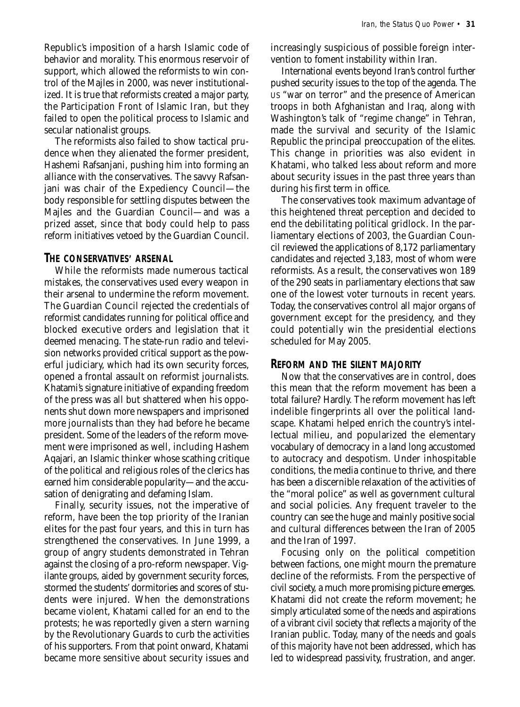Republic's imposition of a harsh Islamic code of behavior and morality. This enormous reservoir of support, which allowed the reformists to win control of the Majles in 2000, was never institutionalized. It is true that reformists created a major party, the Participation Front of Islamic Iran, but they failed to open the political process to Islamic and secular nationalist groups.

The reformists also failed to show tactical prudence when they alienated the former president, Hashemi Rafsanjani, pushing him into forming an alliance with the conservatives. The savvy Rafsanjani was chair of the Expediency Council—the body responsible for settling disputes between the Majles and the Guardian Council—and was a prized asset, since that body could help to pass reform initiatives vetoed by the Guardian Council.

#### **THE CONSERVATIVES' ARSENAL**

While the reformists made numerous tactical mistakes, the conservatives used every weapon in their arsenal to undermine the reform movement. The Guardian Council rejected the credentials of reformist candidates running for political office and blocked executive orders and legislation that it deemed menacing. The state-run radio and television networks provided critical support as the powerful judiciary, which had its own security forces, opened a frontal assault on reformist journalists. Khatami's signature initiative of expanding freedom of the press was all but shattered when his opponents shut down more newspapers and imprisoned more journalists than they had before he became president. Some of the leaders of the reform movement were imprisoned as well, including Hashem Aqajari, an Islamic thinker whose scathing critique of the political and religious roles of the clerics has earned him considerable popularity—and the accusation of denigrating and defaming Islam.

Finally, security issues, not the imperative of reform, have been the top priority of the Iranian elites for the past four years, and this in turn has strengthened the conservatives. In June 1999, a group of angry students demonstrated in Tehran against the closing of a pro-reform newspaper. Vigilante groups, aided by government security forces, stormed the students' dormitories and scores of students were injured. When the demonstrations became violent, Khatami called for an end to the protests; he was reportedly given a stern warning by the Revolutionary Guards to curb the activities of his supporters. From that point onward, Khatami became more sensitive about security issues and

increasingly suspicious of possible foreign intervention to foment instability within Iran.

International events beyond Iran's control further pushed security issues to the top of the agenda. The US "war on terror" and the presence of American troops in both Afghanistan and Iraq, along with Washington's talk of "regime change" in Tehran, made the survival and security of the Islamic Republic the principal preoccupation of the elites. This change in priorities was also evident in Khatami, who talked less about reform and more about security issues in the past three years than during his first term in office.

The conservatives took maximum advantage of this heightened threat perception and decided to end the debilitating political gridlock. In the parliamentary elections of 2003, the Guardian Council reviewed the applications of 8,172 parliamentary candidates and rejected 3,183, most of whom were reformists. As a result, the conservatives won 189 of the 290 seats in parliamentary elections that saw one of the lowest voter turnouts in recent years. Today, the conservatives control all major organs of government except for the presidency, and they could potentially win the presidential elections scheduled for May 2005.

#### **REFORM AND THE SILENT MAJORITY**

Now that the conservatives are in control, does this mean that the reform movement has been a total failure? Hardly. The reform movement has left indelible fingerprints all over the political landscape. Khatami helped enrich the country's intellectual milieu, and popularized the elementary vocabulary of democracy in a land long accustomed to autocracy and despotism. Under inhospitable conditions, the media continue to thrive, and there has been a discernible relaxation of the activities of the "moral police" as well as government cultural and social policies. Any frequent traveler to the country can see the huge and mainly positive social and cultural differences between the Iran of 2005 and the Iran of 1997.

Focusing only on the political competition between factions, one might mourn the premature decline of the reformists. From the perspective of civil society, a much more promising picture emerges. Khatami did not create the reform movement; he simply articulated some of the needs and aspirations of a vibrant civil society that reflects a majority of the Iranian public. Today, many of the needs and goals of this majority have not been addressed, which has led to widespread passivity, frustration, and anger.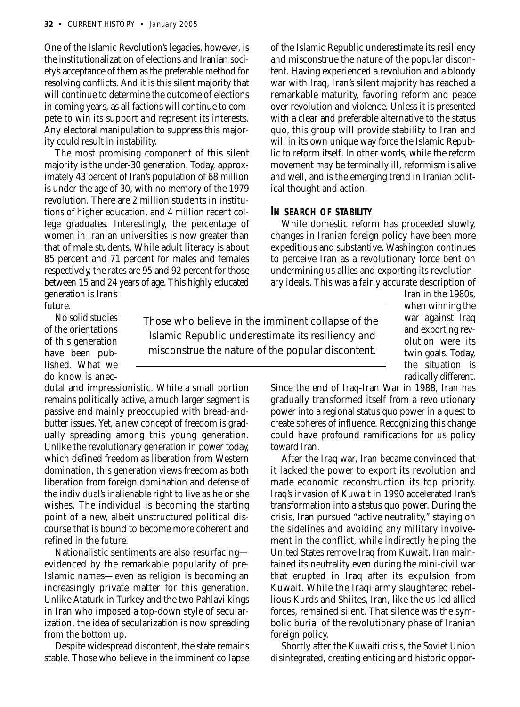One of the Islamic Revolution's legacies, however, is the institutionalization of elections and Iranian society's acceptance of them as the preferable method for resolving conflicts. And it is this silent majority that will continue to determine the outcome of elections in coming years, as all factions will continue to compete to win its support and represent its interests. Any electoral manipulation to suppress this majority could result in instability.

The most promising component of this silent majority is the under-30 generation. Today, approximately 43 percent of Iran's population of 68 million is under the age of 30, with no memory of the 1979 revolution. There are 2 million students in institutions of higher education, and 4 million recent college graduates. Interestingly, the percentage of women in Iranian universities is now greater than that of male students. While adult literacy is about 85 percent and 71 percent for males and females respectively, the rates are 95 and 92 percent for those between 15 and 24 years of age. This highly educated generation is Iran's

future.

No solid studies of the orientations of this generation have been published. What we do know is anec-

*Those who believe in the imminent collapse of the Islamic Republic underestimate its resiliency and misconstrue the nature of the popular discontent.*

of the Islamic Republic underestimate its resiliency and misconstrue the nature of the popular discontent. Having experienced a revolution and a bloody war with Iraq, Iran's silent majority has reached a remarkable maturity, favoring reform and peace over revolution and violence. Unless it is presented with a clear and preferable alternative to the status quo, this group will provide stability to Iran and will in its own unique way force the Islamic Republic to reform itself. In other words, while the reform movement may be terminally ill, reformism is alive and well, and is the emerging trend in Iranian political thought and action.

#### **IN SEARCH OF STABILITY**

While domestic reform has proceeded slowly, changes in Iranian foreign policy have been more expeditious and substantive. Washington continues to perceive Iran as a revolutionary force bent on undermining US allies and exporting its revolutionary ideals. This was a fairly accurate description of

> Iran in the 1980s, when winning the war against Iraq and exporting revolution were its twin goals. Today, the situation is radically different.

Since the end of Iraq-Iran War in 1988, Iran has gradually transformed itself from a revolutionary power into a regional status quo power in a quest to create spheres of influence. Recognizing this change could have profound ramifications for US policy toward Iran.

After the Iraq war, Iran became convinced that it lacked the power to export its revolution and made economic reconstruction its top priority. Iraq's invasion of Kuwait in 1990 accelerated Iran's transformation into a status quo power. During the crisis, Iran pursued "active neutrality," staying on the sidelines and avoiding any military involvement in the conflict, while indirectly helping the United States remove Iraq from Kuwait. Iran maintained its neutrality even during the mini-civil war that erupted in Iraq after its expulsion from Kuwait. While the Iraqi army slaughtered rebellious Kurds and Shiites, Iran, like the US-led allied forces, remained silent. That silence was the symbolic burial of the revolutionary phase of Iranian foreign policy.

Shortly after the Kuwaiti crisis, the Soviet Union disintegrated, creating enticing and historic oppor-

dotal and impressionistic. While a small portion remains politically active, a much larger segment is passive and mainly preoccupied with bread-andbutter issues. Yet, a new concept of freedom is gradually spreading among this young generation. Unlike the revolutionary generation in power today, which defined freedom as liberation from Western domination, this generation views freedom as both liberation from foreign domination and defense of the individual's inalienable right to live as he or she wishes. The individual is becoming the starting point of a new, albeit unstructured political discourse that is bound to become more coherent and refined in the future.

Nationalistic sentiments are also resurfacing evidenced by the remarkable popularity of pre-Islamic names—even as religion is becoming an increasingly private matter for this generation. Unlike Ataturk in Turkey and the two Pahlavi kings in Iran who imposed a top-down style of secularization, the idea of secularization is now spreading from the bottom up.

Despite widespread discontent, the state remains stable. Those who believe in the imminent collapse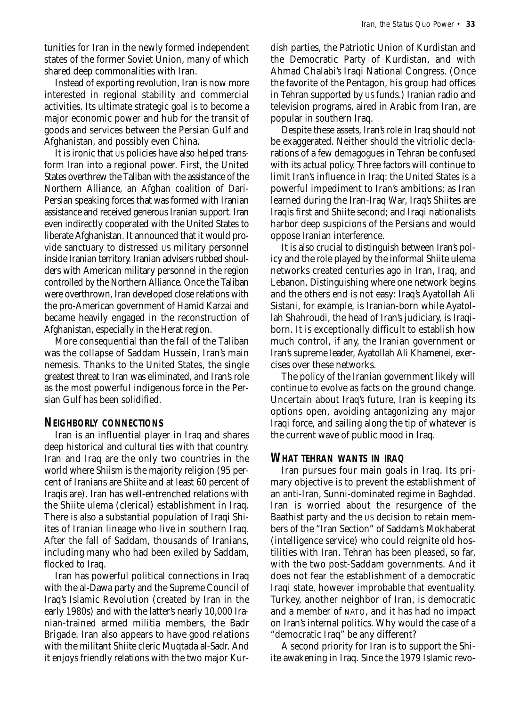tunities for Iran in the newly formed independent states of the former Soviet Union, many of which shared deep commonalities with Iran.

Instead of exporting revolution, Iran is now more interested in regional stability and commercial activities. Its ultimate strategic goal is to become a major economic power and hub for the transit of goods and services between the Persian Gulf and Afghanistan, and possibly even China.

It is ironic that US policies have also helped transform Iran into a regional power. First, the United States overthrew the Taliban with the assistance of the Northern Alliance, an Afghan coalition of Dari-Persian speaking forces that was formed with Iranian assistance and received generous Iranian support. Iran even indirectly cooperated with the United States to liberate Afghanistan. It announced that it would provide sanctuary to distressed US military personnel inside Iranian territory. Iranian advisers rubbed shoulders with American military personnel in the region controlled by the Northern Alliance. Once the Taliban were overthrown, Iran developed close relations with the pro-American government of Hamid Karzai and became heavily engaged in the reconstruction of Afghanistan, especially in the Herat region.

More consequential than the fall of the Taliban was the collapse of Saddam Hussein, Iran's main nemesis. Thanks to the United States, the single greatest threat to Iran was eliminated, and Iran's role as the most powerful indigenous force in the Persian Gulf has been solidified.

# **NEIGHBORLY CONNECTIONS**

Iran is an influential player in Iraq and shares deep historical and cultural ties with that country. Iran and Iraq are the only two countries in the world where Shiism is the majority religion (95 percent of Iranians are Shiite and at least 60 percent of Iraqis are). Iran has well-entrenched relations with the Shiite ulema (clerical) establishment in Iraq. There is also a substantial population of Iraqi Shiites of Iranian lineage who live in southern Iraq. After the fall of Saddam, thousands of Iranians, including many who had been exiled by Saddam, flocked to Iraq.

Iran has powerful political connections in Iraq with the al-Dawa party and the Supreme Council of Iraq's Islamic Revolution (created by Iran in the early 1980s) and with the latter's nearly 10,000 Iranian-trained armed militia members, the Badr Brigade. Iran also appears to have good relations with the militant Shiite cleric Muqtada al-Sadr. And it enjoys friendly relations with the two major Kurdish parties, the Patriotic Union of Kurdistan and the Democratic Party of Kurdistan, and with Ahmad Chalabi's Iraqi National Congress. (Once the favorite of the Pentagon, his group had offices in Tehran supported by US funds.) Iranian radio and television programs, aired in Arabic from Iran, are popular in southern Iraq.

Despite these assets, Iran's role in Iraq should not be exaggerated. Neither should the vitriolic declarations of a few demagogues in Tehran be confused with its actual policy. Three factors will continue to limit Iran's influence in Iraq: the United States is a powerful impediment to Iran's ambitions; as Iran learned during the Iran-Iraq War, Iraq's Shiites are Iraqis first and Shiite second; and Iraqi nationalists harbor deep suspicions of the Persians and would oppose Iranian interference.

It is also crucial to distinguish between Iran's policy and the role played by the informal Shiite ulema networks created centuries ago in Iran, Iraq, and Lebanon. Distinguishing where one network begins and the others end is not easy: Iraq's Ayatollah Ali Sistani, for example, is Iranian-born while Ayatollah Shahroudi, the head of Iran's judiciary, is Iraqiborn. It is exceptionally difficult to establish how much control, if any, the Iranian government or Iran's supreme leader, Ayatollah Ali Khamenei, exercises over these networks.

The policy of the Iranian government likely will continue to evolve as facts on the ground change. Uncertain about Iraq's future, Iran is keeping its options open, avoiding antagonizing any major Iraqi force, and sailing along the tip of whatever is the current wave of public mood in Iraq.

# **WHAT TEHRAN WANTS IN IRAQ**

Iran pursues four main goals in Iraq. Its primary objective is to prevent the establishment of an anti-Iran, Sunni-dominated regime in Baghdad. Iran is worried about the resurgence of the Baathist party and the US decision to retain members of the "Iran Section" of Saddam's Mokhaberat (intelligence service) who could reignite old hostilities with Iran. Tehran has been pleased, so far, with the two post-Saddam governments. And it does not fear the establishment of a democratic Iraqi state, however improbable that eventuality. Turkey, another neighbor of Iran, is democratic and a member of NATO, and it has had no impact on Iran's internal politics. Why would the case of a "democratic Iraq" be any different?

A second priority for Iran is to support the Shiite awakening in Iraq. Since the 1979 Islamic revo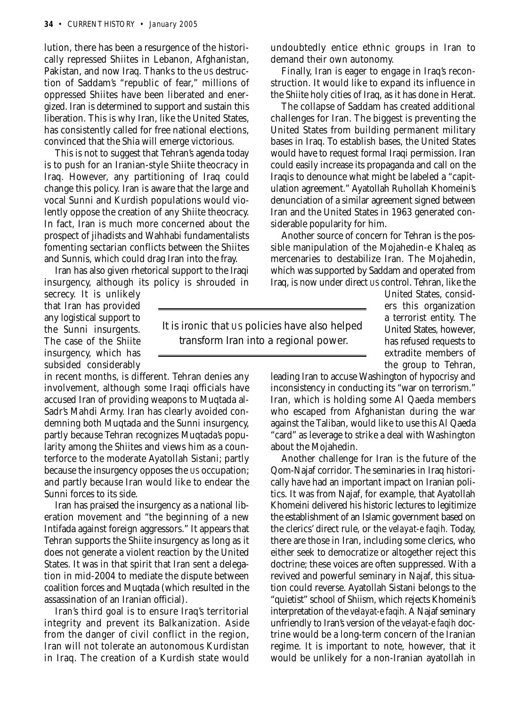lution, there has been a resurgence of the historically repressed Shiites in Lebanon, Afghanistan, Pakistan, and now Iraq. Thanks to the US destruction of Saddam's "republic of fear," millions of oppressed Shiites have been liberated and energized. Iran is determined to support and sustain this liberation. This is why Iran, like the United States, has consistently called for free national elections, convinced that the Shia will emerge victorious.

This is not to suggest that Tehran's agenda today is to push for an Iranian-style Shiite theocracy in Iraq. However, any partitioning of Iraq could change this policy. Iran is aware that the large and vocal Sunni and Kurdish populations would violently oppose the creation of any Shiite theocracy. In fact, Iran is much more concerned about the prospect of jihadists and Wahhabi fundamentalists fomenting sectarian conflicts between the Shiites and Sunnis, which could drag Iran into the fray.

Iran has also given rhetorical support to the Iraqi insurgency, although its policy is shrouded in

secrecy. It is unlikely that Iran has provided any logistical support to the Sunni insurgents. The case of the Shiite insurgency, which has subsided considerably

in recent months, is different. Tehran denies any involvement, although some Iraqi officials have accused Iran of providing weapons to Muqtada al-Sadr's Mahdi Army. Iran has clearly avoided condemning both Muqtada and the Sunni insurgency, partly because Tehran recognizes Muqtada's popularity among the Shiites and views him as a counterforce to the moderate Ayatollah Sistani; partly because the insurgency opposes the US occupation; and partly because Iran would like to endear the Sunni forces to its side.

Iran has praised the insurgency as a national liberation movement and "the beginning of a new Intifada against foreign aggressors." It appears that Tehran supports the Shiite insurgency as long as it does not generate a violent reaction by the United States. It was in that spirit that Iran sent a delegation in mid-2004 to mediate the dispute between coalition forces and Muqtada (which resulted in the assassination of an Iranian official).

Iran's third goal is to ensure Iraq's territorial integrity and prevent its Balkanization. Aside from the danger of civil conflict in the region, Iran will not tolerate an autonomous Kurdistan in Iraq. The creation of a Kurdish state would undoubtedly entice ethnic groups in Iran to demand their own autonomy.

Finally, Iran is eager to engage in Iraq's reconstruction. It would like to expand its influence in the Shiite holy cities of Iraq, as it has done in Herat.

The collapse of Saddam has created additional challenges for Iran. The biggest is preventing the United States from building permanent military bases in Iraq. To establish bases, the United States would have to request formal Iraqi permission. Iran could easily increase its propaganda and call on the Iraqis to denounce what might be labeled a "capitulation agreement." Ayatollah Ruhollah Khomeini's denunciation of a similar agreement signed between Iran and the United States in 1963 generated considerable popularity for him.

Another source of concern for Tehran is the possible manipulation of the Mojahedin-e Khaleq as mercenaries to destabilize Iran. The Mojahedin, which was supported by Saddam and operated from Iraq, is now under direct US control. Tehran, like the

*It is ironic that US policies have also helped transform Iran into a regional power.*

United States, considers this organization a terrorist entity. The United States, however, has refused requests to extradite members of the group to Tehran,

leading Iran to accuse Washington of hypocrisy and inconsistency in conducting its "war on terrorism." Iran, which is holding some Al Qaeda members who escaped from Afghanistan during the war against the Taliban, would like to use this Al Qaeda "card" as leverage to strike a deal with Washington about the Mojahedin.

Another challenge for Iran is the future of the Qom-Najaf corridor. The seminaries in Iraq historically have had an important impact on Iranian politics. It was from Najaf, for example, that Ayatollah Khomeini delivered his historic lectures to legitimize the establishment of an Islamic government based on the clerics' direct rule, or the *velayat-e faqih.* Today, there are those in Iran, including some clerics, who either seek to democratize or altogether reject this doctrine; these voices are often suppressed. With a revived and powerful seminary in Najaf, this situation could reverse. Ayatollah Sistani belongs to the "quietist" school of Shiism, which rejects Khomeini's interpretation of the *velayat-e faqih.* A Najaf seminary unfriendly to Iran's version of the *velayat-e faqih* doctrine would be a long-term concern of the Iranian regime. It is important to note, however, that it would be unlikely for a non-Iranian ayatollah in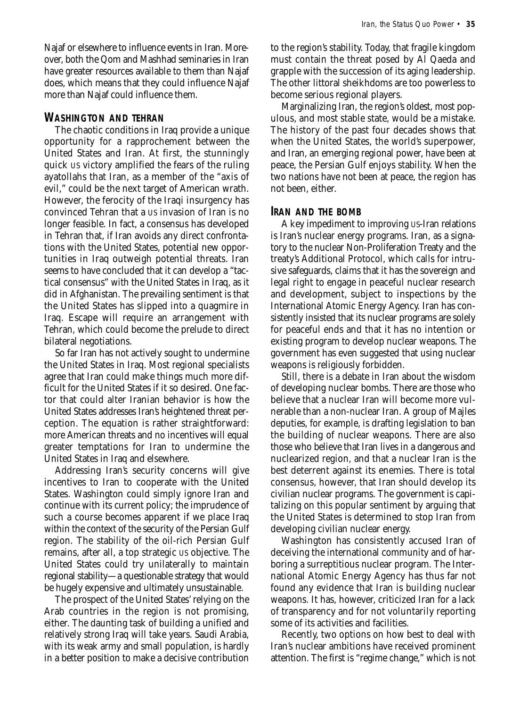Najaf or elsewhere to influence events in Iran. Moreover, both the Qom and Mashhad seminaries in Iran have greater resources available to them than Najaf does, which means that they could influence Najaf more than Najaf could influence them.

### **WASHINGTON AND TEHRAN**

The chaotic conditions in Iraq provide a unique opportunity for a rapprochement between the United States and Iran. At first, the stunningly quick US victory amplified the fears of the ruling ayatollahs that Iran, as a member of the "axis of evil," could be the next target of American wrath. However, the ferocity of the Iraqi insurgency has convinced Tehran that a US invasion of Iran is no longer feasible. In fact, a consensus has developed in Tehran that, if Iran avoids any direct confrontations with the United States, potential new opportunities in Iraq outweigh potential threats. Iran seems to have concluded that it can develop a "tactical consensus" with the United States in Iraq, as it did in Afghanistan. The prevailing sentiment is that the United States has slipped into a quagmire in Iraq. Escape will require an arrangement with Tehran, which could become the prelude to direct bilateral negotiations.

So far Iran has not actively sought to undermine the United States in Iraq. Most regional specialists agree that Iran could make things much more difficult for the United States if it so desired. One factor that could alter Iranian behavior is how the United States addresses Iran's heightened threat perception. The equation is rather straightforward: more American threats and no incentives will equal greater temptations for Iran to undermine the United States in Iraq and elsewhere.

Addressing Iran's security concerns will give incentives to Iran to cooperate with the United States. Washington could simply ignore Iran and continue with its current policy; the imprudence of such a course becomes apparent if we place Iraq within the context of the security of the Persian Gulf region. The stability of the oil-rich Persian Gulf remains, after all, a top strategic US objective. The United States could try unilaterally to maintain regional stability—a questionable strategy that would be hugely expensive and ultimately unsustainable.

The prospect of the United States' relying on the Arab countries in the region is not promising, either. The daunting task of building a unified and relatively strong Iraq will take years. Saudi Arabia, with its weak army and small population, is hardly in a better position to make a decisive contribution to the region's stability. Today, that fragile kingdom must contain the threat posed by Al Qaeda and grapple with the succession of its aging leadership. The other littoral sheikhdoms are too powerless to become serious regional players.

Marginalizing Iran, the region's oldest, most populous, and most stable state, would be a mistake. The history of the past four decades shows that when the United States, the world's superpower, and Iran, an emerging regional power, have been at peace, the Persian Gulf enjoys stability. When the two nations have not been at peace, the region has not been, either.

## **IRAN AND THE BOMB**

A key impediment to improving US-Iran relations is Iran's nuclear energy programs. Iran, as a signatory to the nuclear Non-Proliferation Treaty and the treaty's Additional Protocol, which calls for intrusive safeguards, claims that it has the sovereign and legal right to engage in peaceful nuclear research and development, subject to inspections by the International Atomic Energy Agency. Iran has consistently insisted that its nuclear programs are solely for peaceful ends and that it has no intention or existing program to develop nuclear weapons. The government has even suggested that using nuclear weapons is religiously forbidden.

Still, there is a debate in Iran about the wisdom of developing nuclear bombs. There are those who believe that a nuclear Iran will become more vulnerable than a non-nuclear Iran. A group of Majles deputies, for example, is drafting legislation to ban the building of nuclear weapons. There are also those who believe that Iran lives in a dangerous and nuclearized region, and that a nuclear Iran is the best deterrent against its enemies. There is total consensus, however, that Iran should develop its civilian nuclear programs. The government is capitalizing on this popular sentiment by arguing that the United States is determined to stop Iran from developing civilian nuclear energy.

Washington has consistently accused Iran of deceiving the international community and of harboring a surreptitious nuclear program. The International Atomic Energy Agency has thus far not found any evidence that Iran is building nuclear weapons. It has, however, criticized Iran for a lack of transparency and for not voluntarily reporting some of its activities and facilities.

Recently, two options on how best to deal with Iran's nuclear ambitions have received prominent attention. The first is "regime change," which is not